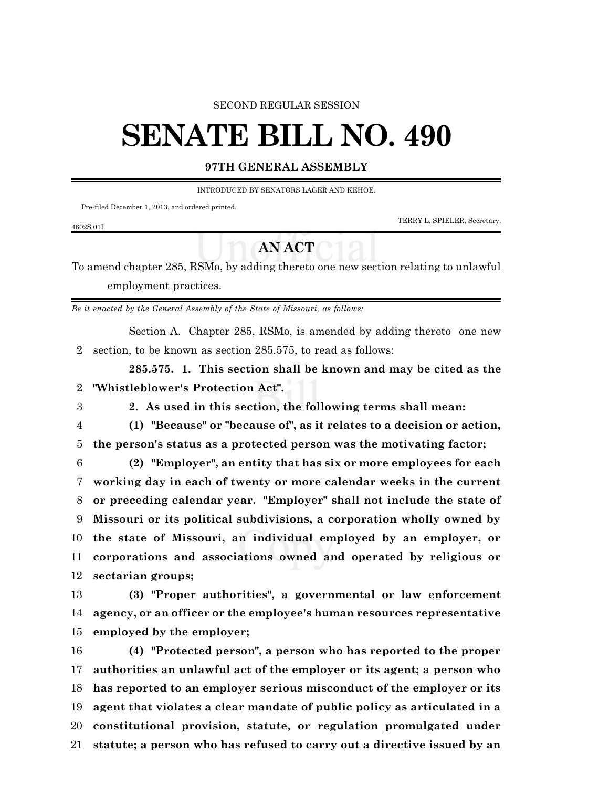#### SECOND REGULAR SESSION

# **SENATE BILL NO. 490**

### **97TH GENERAL ASSEMBLY**

INTRODUCED BY SENATORS LAGER AND KEHOE.

Pre-filed December 1, 2013, and ordered printed.

4602S.01I

TERRY L. SPIELER, Secretary.

## **AN ACT**

To amend chapter 285, RSMo, by adding thereto one new section relating to unlawful employment practices.

*Be it enacted by the General Assembly of the State of Missouri, as follows:*

Section A. Chapter 285, RSMo, is amended by adding thereto one new section, to be known as section 285.575, to read as follows:

**285.575. 1. This section shall be known and may be cited as the "Whistleblower's Protection Act".**

**2. As used in this section, the following terms shall mean:**

 **(1) "Because" or "because of", as it relates to a decision or action, the person's status as a protected person was the motivating factor;**

 **(2) "Employer", an entity that has six or more employees for each working day in each of twenty or more calendar weeks in the current or preceding calendar year. "Employer" shall not include the state of Missouri or its political subdivisions, a corporation wholly owned by the state of Missouri, an individual employed by an employer, or corporations and associations owned and operated by religious or sectarian groups;**

 **(3) "Proper authorities", a governmental or law enforcement agency, or an officer or the employee's human resources representative employed by the employer;**

 **(4) "Protected person", a person who has reported to the proper authorities an unlawful act of the employer or its agent; a person who has reported to an employer serious misconduct of the employer or its agent that violates a clear mandate of public policy as articulated in a constitutional provision, statute, or regulation promulgated under statute; a person who has refused to carry out a directive issued by an**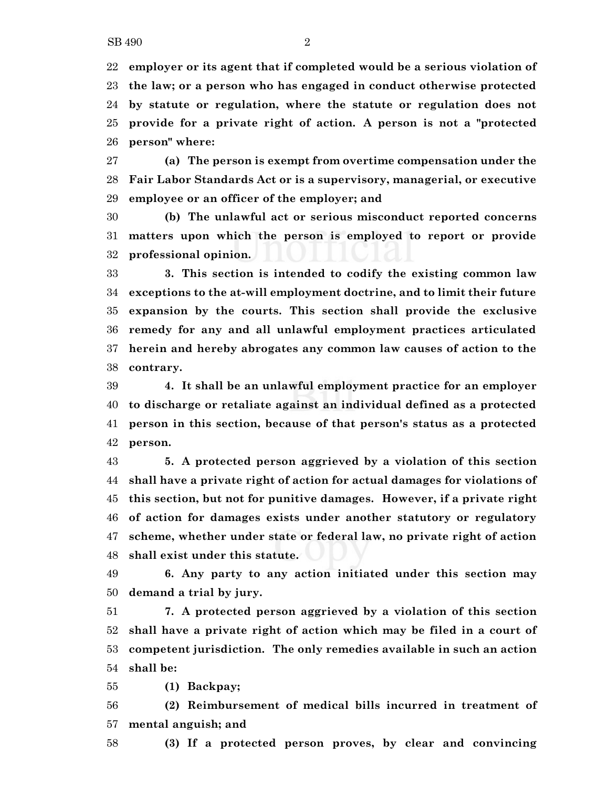**employer or its agent that if completed would be a serious violation of the law; or a person who has engaged in conduct otherwise protected by statute or regulation, where the statute or regulation does not provide for a private right of action. A person is not a "protected person" where:**

 **(a) The person is exempt from overtime compensation under the Fair Labor Standards Act or is a supervisory, managerial, or executive employee or an officer of the employer; and**

 **(b) The unlawful act or serious misconduct reported concerns matters upon which the person is employed to report or provide professional opinion.**

 **3. This section is intended to codify the existing common law exceptions to the at-will employment doctrine, and to limit their future expansion by the courts. This section shall provide the exclusive remedy for any and all unlawful employment practices articulated herein and hereby abrogates any common law causes of action to the contrary.**

 **4. It shall be an unlawful employment practice for an employer to discharge or retaliate against an individual defined as a protected person in this section, because of that person's status as a protected person.**

 **5. A protected person aggrieved by a violation of this section shall have a private right of action for actual damages for violations of this section, but not for punitive damages. However, if a private right of action for damages exists under another statutory or regulatory scheme, whether under state or federal law, no private right of action shall exist under this statute.**

 **6. Any party to any action initiated under this section may demand a trial by jury.**

 **7. A protected person aggrieved by a violation of this section shall have a private right of action which may be filed in a court of competent jurisdiction. The only remedies available in such an action shall be:**

**(1) Backpay;**

 **(2) Reimbursement of medical bills incurred in treatment of mental anguish; and**

**(3) If a protected person proves, by clear and convincing**